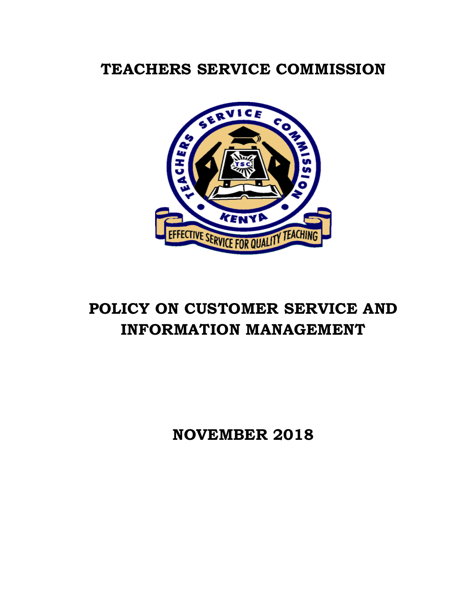## **TEACHERS SERVICE COMMISSION**



# **POLICY ON CUSTOMER SERVICE AND INFORMATION MANAGEMENT**

**NOVEMBER 2018**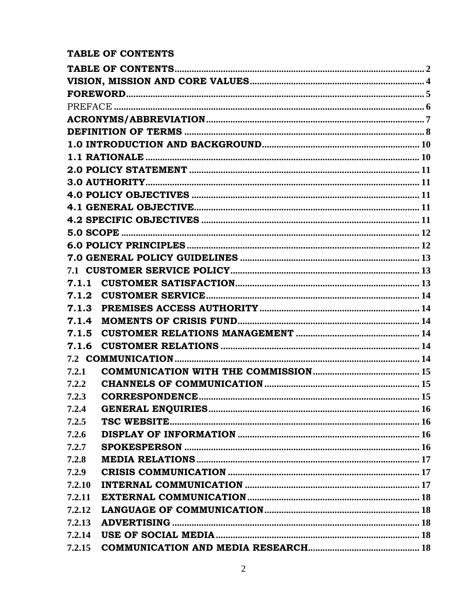## <span id="page-1-0"></span>TABLE OF CONTENTS

| 7.1.3  |  |  |  |  |
|--------|--|--|--|--|
| 7.1.4  |  |  |  |  |
| 7.1.5  |  |  |  |  |
|        |  |  |  |  |
|        |  |  |  |  |
| 7.2.1  |  |  |  |  |
| 7.2.2  |  |  |  |  |
| 7.2.3  |  |  |  |  |
| 7.2.4  |  |  |  |  |
| 7.2.5  |  |  |  |  |
| 7.2.6  |  |  |  |  |
| 7.2.7  |  |  |  |  |
| 7.2.8  |  |  |  |  |
| 7.2.9  |  |  |  |  |
| 7.2.10 |  |  |  |  |
| 7.2.11 |  |  |  |  |
| 7.2.12 |  |  |  |  |
| 7.2.13 |  |  |  |  |
| 7.2.14 |  |  |  |  |
| 7.2.15 |  |  |  |  |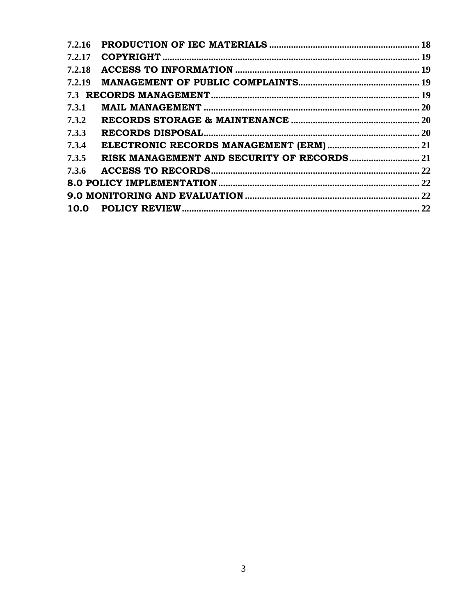| 7.3.1 |  |
|-------|--|
| 7.3.2 |  |
| 7.3.3 |  |
| 7.3.4 |  |
| 7.3.5 |  |
|       |  |
|       |  |
|       |  |
|       |  |
|       |  |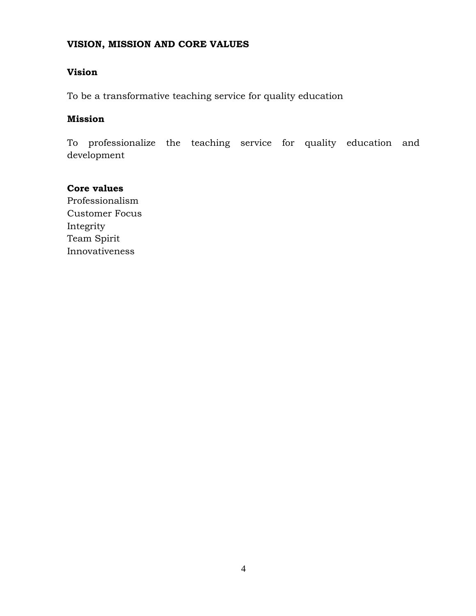#### <span id="page-3-0"></span>**VISION, MISSION AND CORE VALUES**

#### **Vision**

To be a transformative teaching service for quality education

#### **Mission**

To professionalize the teaching service for quality education and development

**Core values** Professionalism Customer Focus Integrity Team Spirit Innovativeness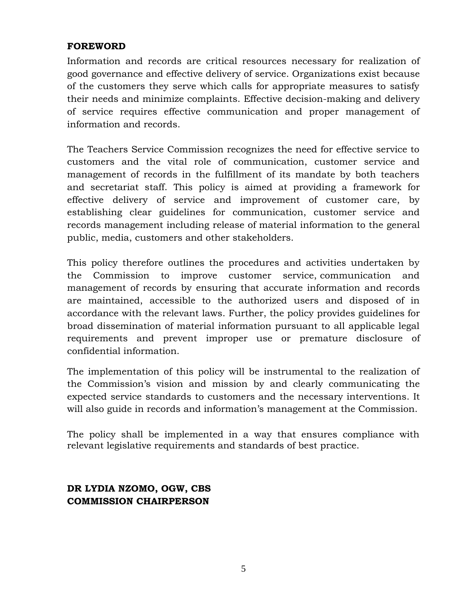#### <span id="page-4-0"></span>**FOREWORD**

Information and records are critical resources necessary for realization of good governance and effective delivery of service. Organizations exist because of the customers they serve which calls for appropriate measures to satisfy their needs and minimize complaints. Effective decision-making and delivery of service requires effective communication and proper management of information and records.

The Teachers Service Commission recognizes the need for effective service to customers and the vital role of communication, customer service and management of records in the fulfillment of its mandate by both teachers and secretariat staff. This policy is aimed at providing a framework for effective delivery of service and improvement of customer care, by establishing clear guidelines for communication, customer service and records management including release of material information to the general public, media, customers and other stakeholders.

This policy therefore outlines the procedures and activities undertaken by the Commission to improve customer service, communication and management of records by ensuring that accurate information and records are maintained, accessible to the authorized users and disposed of in accordance with the relevant laws. Further, the policy provides guidelines for broad dissemination of material information pursuant to all applicable legal requirements and prevent improper use or premature disclosure of confidential information.

The implementation of this policy will be instrumental to the realization of the Commission's vision and mission by and clearly communicating the expected service standards to customers and the necessary interventions. It will also guide in records and information's management at the Commission.

The policy shall be implemented in a way that ensures compliance with relevant legislative requirements and standards of best practice.

## **DR LYDIA NZOMO, OGW, CBS COMMISSION CHAIRPERSON**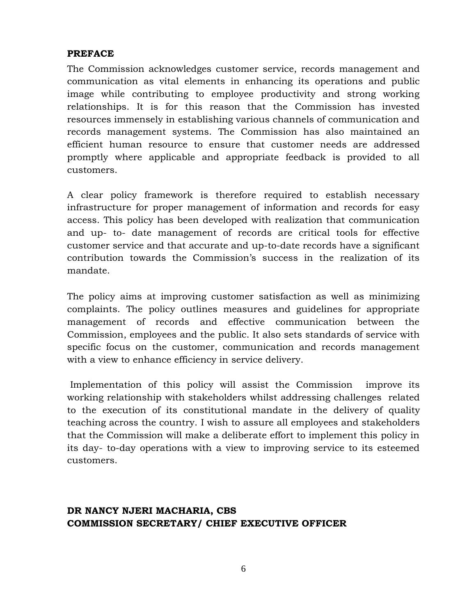#### <span id="page-5-0"></span>**PREFACE**

The Commission acknowledges customer service, records management and communication as vital elements in enhancing its operations and public image while contributing to employee productivity and strong working relationships. It is for this reason that the Commission has invested resources immensely in establishing various channels of communication and records management systems. The Commission has also maintained an efficient human resource to ensure that customer needs are addressed promptly where applicable and appropriate feedback is provided to all customers.

A clear policy framework is therefore required to establish necessary infrastructure for proper management of information and records for easy access. This policy has been developed with realization that communication and up- to- date management of records are critical tools for effective customer service and that accurate and up-to-date records have a significant contribution towards the Commission's success in the realization of its mandate.

The policy aims at improving customer satisfaction as well as minimizing complaints. The policy outlines measures and guidelines for appropriate management of records and effective communication between the Commission, employees and the public. It also sets standards of service with specific focus on the customer, communication and records management with a view to enhance efficiency in service delivery.

Implementation of this policy will assist the Commission improve its working relationship with stakeholders whilst addressing challenges related to the execution of its constitutional mandate in the delivery of quality teaching across the country. I wish to assure all employees and stakeholders that the Commission will make a deliberate effort to implement this policy in its day- to-day operations with a view to improving service to its esteemed customers.

## **DR NANCY NJERI MACHARIA, CBS COMMISSION SECRETARY/ CHIEF EXECUTIVE OFFICER**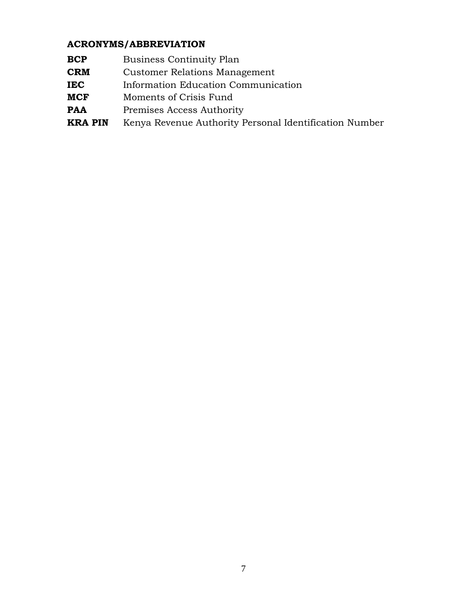## <span id="page-6-0"></span>**ACRONYMS/ABBREVIATION**

- **BCP** Business Continuity Plan
- **CRM** Customer Relations Management
- **IEC** Information Education Communication
- **MCF** Moments of Crisis Fund
- **PAA** Premises Access Authority
- **KRA PIN** Kenya Revenue Authority Personal Identification Number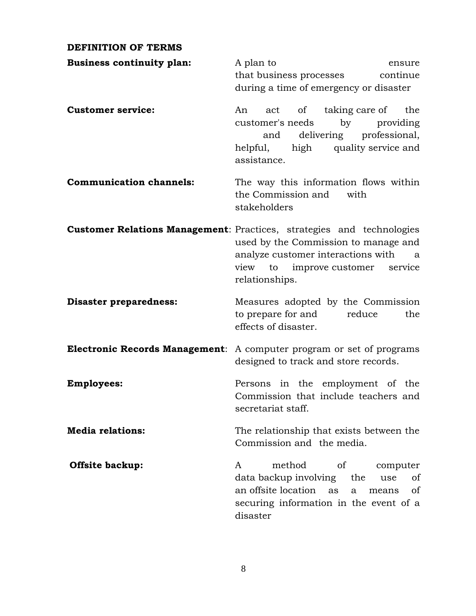#### <span id="page-7-0"></span>**DEFINITION OF TERMS**

| <b>Business continuity plan:</b> | A plan to<br>ensure<br>continue<br>that business processes<br>during a time of emergency or disaster                                                                                                                     |
|----------------------------------|--------------------------------------------------------------------------------------------------------------------------------------------------------------------------------------------------------------------------|
| <b>Customer service:</b>         | taking care of<br>act of<br>the<br>An<br>customer's needs<br>by<br>providing<br>delivering professional,<br>and<br>quality service and<br>high<br>helpful,<br>assistance.                                                |
| <b>Communication channels:</b>   | The way this information flows within<br>the Commission and<br>with<br>stakeholders                                                                                                                                      |
|                                  | <b>Customer Relations Management: Practices, strategies and technologies</b><br>used by the Commission to manage and<br>analyze customer interactions with<br>a<br>view to improve customer<br>service<br>relationships. |
| <b>Disaster preparedness:</b>    | Measures adopted by the Commission<br>to prepare for and<br>reduce<br>the<br>effects of disaster.                                                                                                                        |
|                                  | <b>Electronic Records Management:</b> A computer program or set of programs<br>designed to track and store records.                                                                                                      |
| <b>Employees:</b>                | Persons in the employment of the<br>Commission that include teachers and<br>secretariat staff.                                                                                                                           |
| <b>Media relations:</b>          | The relationship that exists between the<br>Commission and the media.                                                                                                                                                    |
| <b>Offsite backup:</b>           | method<br><sub>of</sub><br>computer<br>A<br>data backup involving<br>the<br>of<br>use<br>an offsite location<br>of<br>as<br>a<br>means<br>securing information in the event of a<br>disaster                             |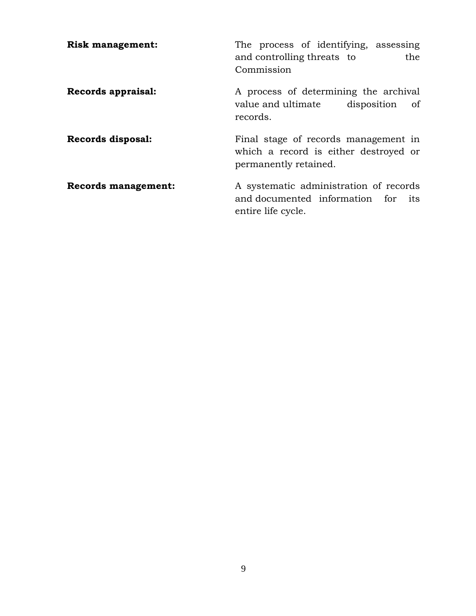| <b>Risk management:</b>    | The process of identifying, assessing<br>and controlling threats to<br>the<br>Commission               |
|----------------------------|--------------------------------------------------------------------------------------------------------|
| Records appraisal:         | A process of determining the archival<br>value and ultimate disposition of<br>records.                 |
| Records disposal:          | Final stage of records management in<br>which a record is either destroyed or<br>permanently retained. |
| <b>Records management:</b> | A systematic administration of records<br>and documented information for its<br>entire life cycle.     |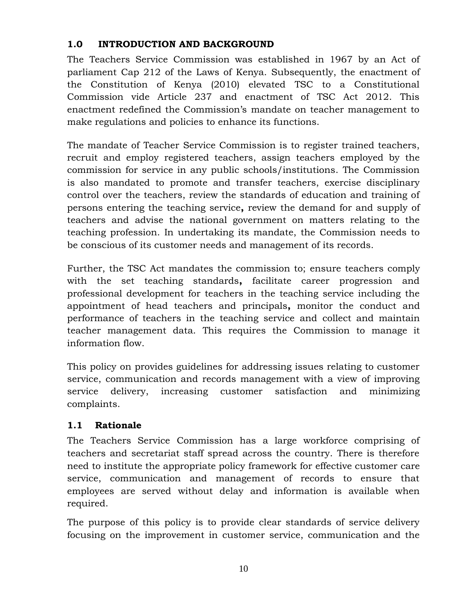#### <span id="page-9-0"></span>**1.0 INTRODUCTION AND BACKGROUND**

The Teachers Service Commission was established in 1967 by an Act of parliament Cap 212 of the Laws of Kenya. Subsequently, the enactment of the Constitution of Kenya (2010) elevated TSC to a Constitutional Commission vide Article 237 and enactment of TSC Act 2012. This enactment redefined the Commission's mandate on teacher management to make regulations and policies to enhance its functions.

The mandate of Teacher Service Commission is to register trained teachers, recruit and employ registered teachers, assign teachers employed by the commission for service in any public schools/institutions. The Commission is also mandated to promote and transfer teachers, exercise disciplinary control over the teachers, review the standards of education and training of persons entering the teaching service**,** review the demand for and supply of teachers and advise the national government on matters relating to the teaching profession. In undertaking its mandate, the Commission needs to be conscious of its customer needs and management of its records.

Further, the TSC Act mandates the commission to; ensure teachers comply with the set teaching standards**,** facilitate career progression and professional development for teachers in the teaching service including the appointment of head teachers and principals**,** monitor the conduct and performance of teachers in the teaching service and collect and maintain teacher management data. This requires the Commission to manage it information flow.

This policy on provides guidelines for addressing issues relating to customer service, communication and records management with a view of improving service delivery, increasing customer satisfaction and minimizing complaints.

## <span id="page-9-1"></span>**1.1 Rationale**

The Teachers Service Commission has a large workforce comprising of teachers and secretariat staff spread across the country. There is therefore need to institute the appropriate policy framework for effective customer care service, communication and management of records to ensure that employees are served without delay and information is available when required.

The purpose of this policy is to provide clear standards of service delivery focusing on the improvement in customer service, communication and the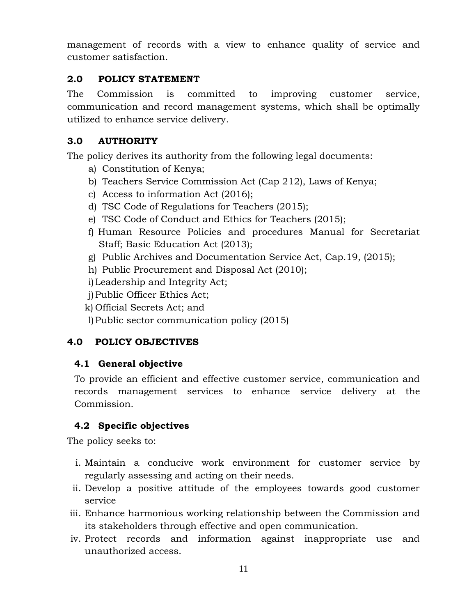management of records with a view to enhance quality of service and customer satisfaction.

#### <span id="page-10-0"></span>**2.0 POLICY STATEMENT**

The Commission is committed to improving customer service, communication and record management systems, which shall be optimally utilized to enhance service delivery.

#### <span id="page-10-1"></span>**3.0 AUTHORITY**

The policy derives its authority from the following legal documents:

- a) Constitution of Kenya;
- b) Teachers Service Commission Act (Cap 212), Laws of Kenya;
- c) Access to information Act (2016);
- d) TSC Code of Regulations for Teachers (2015);
- e) TSC Code of Conduct and Ethics for Teachers (2015);
- f) Human Resource Policies and procedures Manual for Secretariat Staff; Basic Education Act (2013);
- g) Public Archives and Documentation Service Act, Cap.19, (2015);
- h) Public Procurement and Disposal Act (2010);
- i)Leadership and Integrity Act;
- j)Public Officer Ethics Act;
- k) Official Secrets Act; and
- l)Public sector communication policy (2015)

#### <span id="page-10-2"></span>**4.0 POLICY OBJECTIVES**

#### <span id="page-10-3"></span>**4.1 General objective**

To provide an efficient and effective customer service, communication and records management services to enhance service delivery at the Commission.

#### <span id="page-10-4"></span>**4.2 Specific objectives**

The policy seeks to:

- i. Maintain a conducive work environment for customer service by regularly assessing and acting on their needs.
- ii. Develop a positive attitude of the employees towards good customer service
- iii. Enhance harmonious working relationship between the Commission and its stakeholders through effective and open communication.
- iv. Protect records and information against inappropriate use and unauthorized access.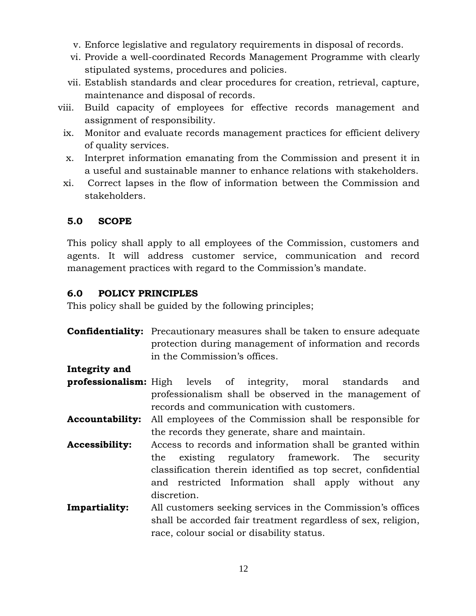- v. Enforce legislative and regulatory requirements in disposal of records.
- vi. Provide a well-coordinated Records Management Programme with clearly stipulated systems, procedures and policies.
- vii. Establish standards and clear procedures for creation, retrieval, capture, maintenance and disposal of records.
- viii. Build capacity of employees for effective records management and assignment of responsibility.
	- ix. Monitor and evaluate records management practices for efficient delivery of quality services.
	- x. Interpret information emanating from the Commission and present it in a useful and sustainable manner to enhance relations with stakeholders.
	- xi. Correct lapses in the flow of information between the Commission and stakeholders.

#### <span id="page-11-0"></span>**5.0 SCOPE**

This policy shall apply to all employees of the Commission, customers and agents. It will address customer service, communication and record management practices with regard to the Commission's mandate.

#### <span id="page-11-1"></span>**6.0 POLICY PRINCIPLES**

This policy shall be guided by the following principles;

**Confidentiality:** Precautionary measures shall be taken to ensure adequate protection during management of information and records in the Commission's offices.

**Integrity and** 

- **professionalism:** High levels of integrity, moral standards and professionalism shall be observed in the management of records and communication with customers.
- **Accountability:** All employees of the Commission shall be responsible for the records they generate, share and maintain.
- **Accessibility:** Access to records and information shall be granted within the existing regulatory framework. The security classification therein identified as top secret, confidential and restricted Information shall apply without any discretion.
- **Impartiality:** All customers seeking services in the Commission's offices shall be accorded fair treatment regardless of sex, religion, race, colour social or disability status.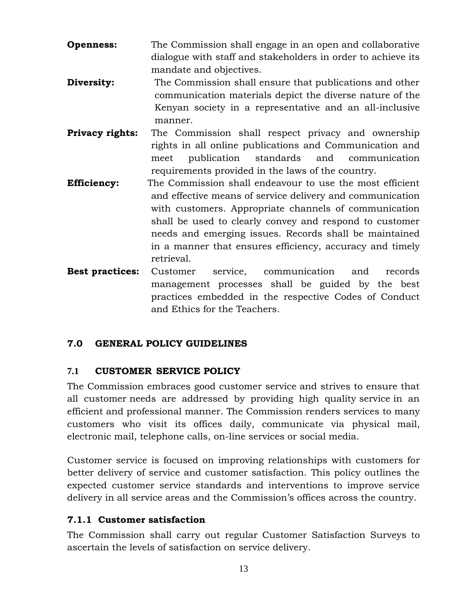- **Openness:** The Commission shall engage in an open and collaborative dialogue with staff and stakeholders in order to achieve its mandate and objectives.
- **Diversity:** The Commission shall ensure that publications and other communication materials depict the diverse nature of the Kenyan society in a representative and an all-inclusive manner.
- **Privacy rights:** The Commission shall respect privacy and ownership rights in all online publications and Communication and meet publication standards and communication requirements provided in the laws of the country.
- **Efficiency:** The Commission shall endeavour to use the most efficient and effective means of service delivery and communication with customers. Appropriate channels of communication shall be used to clearly convey and respond to customer needs and emerging issues. Records shall be maintained in a manner that ensures efficiency, accuracy and timely retrieval.
- **Best practices:** Customer service, communication and records management processes shall be guided by the best practices embedded in the respective Codes of Conduct and Ethics for the Teachers.

#### <span id="page-12-0"></span>**7.0 GENERAL POLICY GUIDELINES**

#### <span id="page-12-1"></span>**7.1 CUSTOMER SERVICE POLICY**

The Commission embraces good customer service and strives to ensure that all customer needs are addressed by providing high quality service in an efficient and professional manner. The Commission renders services to many customers who visit its offices daily, communicate via physical mail, electronic mail, telephone calls, on-line services or social media.

Customer service is focused on improving relationships with customers for better delivery of service and customer satisfaction. This policy outlines the expected customer service standards and interventions to improve service delivery in all service areas and the Commission's offices across the country.

#### <span id="page-12-2"></span>**7.1.1 Customer satisfaction**

The Commission shall carry out regular Customer Satisfaction Surveys to ascertain the levels of satisfaction on service delivery.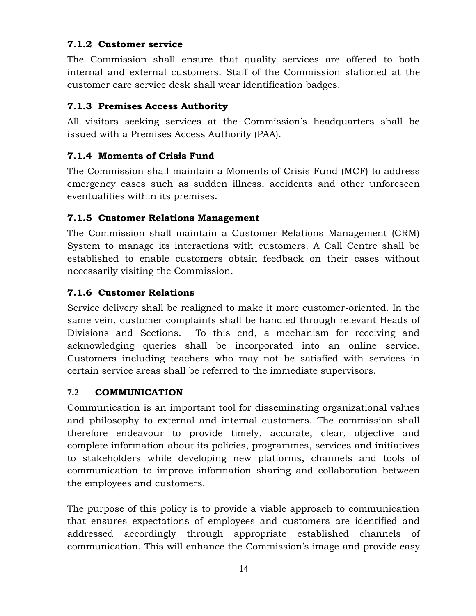#### <span id="page-13-0"></span>**7.1.2 Customer service**

The Commission shall ensure that quality services are offered to both internal and external customers. Staff of the Commission stationed at the customer care service desk shall wear identification badges.

#### <span id="page-13-1"></span>**7.1.3 Premises Access Authority**

All visitors seeking services at the Commission's headquarters shall be issued with a Premises Access Authority (PAA).

#### <span id="page-13-2"></span>**7.1.4 Moments of Crisis Fund**

The Commission shall maintain a Moments of Crisis Fund (MCF) to address emergency cases such as sudden illness, accidents and other unforeseen eventualities within its premises.

#### <span id="page-13-3"></span>**7.1.5 Customer Relations Management**

The Commission shall maintain a Customer Relations Management (CRM) System to manage its interactions with customers. A Call Centre shall be established to enable customers obtain feedback on their cases without necessarily visiting the Commission.

#### <span id="page-13-4"></span>**7.1.6 Customer Relations**

Service delivery shall be realigned to make it more customer-oriented. In the same vein, customer complaints shall be handled through relevant Heads of Divisions and Sections. To this end, a mechanism for receiving and acknowledging queries shall be incorporated into an online service. Customers including teachers who may not be satisfied with services in certain service areas shall be referred to the immediate supervisors.

## <span id="page-13-5"></span>**7.2 COMMUNICATION**

Communication is an important tool for disseminating organizational values and philosophy to external and internal customers. The commission shall therefore endeavour to provide timely, accurate, clear, objective and complete information about its policies, programmes, services and initiatives to stakeholders while developing new platforms, channels and tools of communication to improve information sharing and collaboration between the employees and customers.

The purpose of this policy is to provide a viable approach to communication that ensures expectations of employees and customers are identified and addressed accordingly through appropriate established channels of communication. This will enhance the Commission's image and provide easy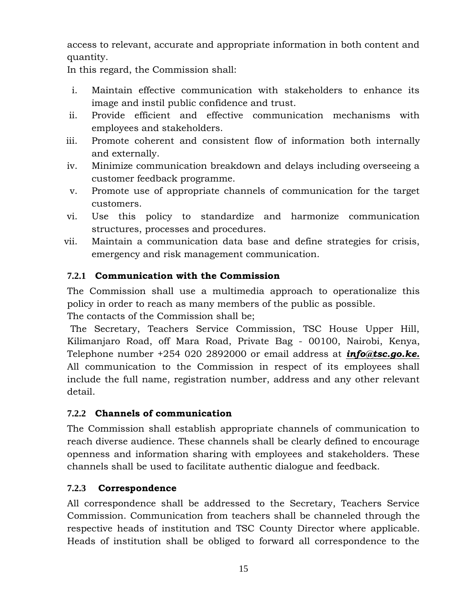access to relevant, accurate and appropriate information in both content and quantity.

In this regard, the Commission shall:

- i. Maintain effective communication with stakeholders to enhance its image and instil public confidence and trust.
- ii. Provide efficient and effective communication mechanisms with employees and stakeholders.
- iii. Promote coherent and consistent flow of information both internally and externally.
- iv. Minimize communication breakdown and delays including overseeing a customer feedback programme.
- v. Promote use of appropriate channels of communication for the target customers.
- vi. Use this policy to standardize and harmonize communication structures, processes and procedures.
- vii. Maintain a communication data base and define strategies for crisis, emergency and risk management communication.

#### <span id="page-14-0"></span>**7.2.1 Communication with the Commission**

The Commission shall use a multimedia approach to operationalize this policy in order to reach as many members of the public as possible. The contacts of the Commission shall be;

The Secretary, Teachers Service Commission, TSC House Upper Hill, Kilimanjaro Road, off Mara Road, Private Bag - 00100, Nairobi, Kenya, Telephone number +254 020 2892000 or email address at *[info@tsc.go.ke.](mailto:info@tsc.go.ke)*  All communication to the Commission in respect of its employees shall include the full name, registration number, address and any other relevant detail.

#### <span id="page-14-1"></span>**7.2.2 Channels of communication**

The Commission shall establish appropriate channels of communication to reach diverse audience. These channels shall be clearly defined to encourage openness and information sharing with employees and stakeholders. These channels shall be used to facilitate authentic dialogue and feedback.

#### <span id="page-14-2"></span>**7.2.3 Correspondence**

All correspondence shall be addressed to the Secretary, Teachers Service Commission. Communication from teachers shall be channeled through the respective heads of institution and TSC County Director where applicable. Heads of institution shall be obliged to forward all correspondence to the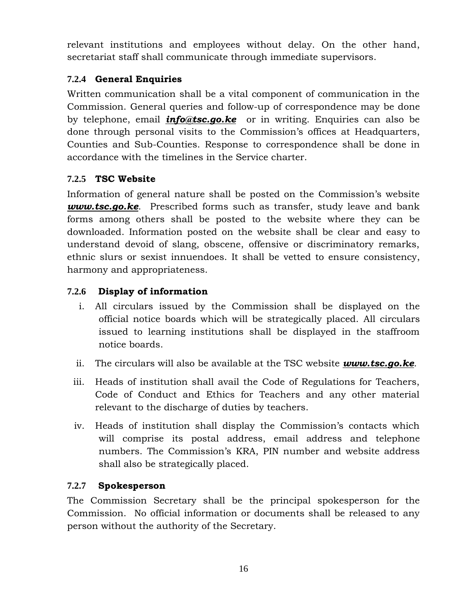relevant institutions and employees without delay. On the other hand, secretariat staff shall communicate through immediate supervisors.

## <span id="page-15-0"></span>**7.2.4 General Enquiries**

Written communication shall be a vital component of communication in the Commission. General queries and follow-up of correspondence may be done by telephone, email *[info@tsc.go.ke](mailto:info@tsc.go.ke)* or in writing. Enquiries can also be done through personal visits to the Commission's offices at Headquarters, Counties and Sub-Counties. Response to correspondence shall be done in accordance with the timelines in the Service charter.

## <span id="page-15-1"></span>**7.2.5 TSC Website**

Information of general nature shall be posted on the Commission's website *[www.tsc.go.ke](http://www.tsc.go.ke/)*. Prescribed forms such as transfer, study leave and bank forms among others shall be posted to the website where they can be downloaded. Information posted on the website shall be clear and easy to understand devoid of slang, obscene, offensive or discriminatory remarks, ethnic slurs or sexist innuendoes. It shall be vetted to ensure consistency, harmony and appropriateness.

#### **7.2.6 Display of information**

- <span id="page-15-2"></span>i. All circulars issued by the Commission shall be displayed on the official notice boards which will be strategically placed. All circulars issued to learning institutions shall be displayed in the staffroom notice boards.
- ii. The circulars will also be available at the TSC website *[www.tsc.go.ke](http://www.tsc.go.ke/)*.
- iii. Heads of institution shall avail the Code of Regulations for Teachers, Code of Conduct and Ethics for Teachers and any other material relevant to the discharge of duties by teachers.
- iv. Heads of institution shall display the Commission's contacts which will comprise its postal address, email address and telephone numbers. The Commission's KRA, PIN number and website address shall also be strategically placed.

#### <span id="page-15-3"></span>**7.2.7 Spokesperson**

The Commission Secretary shall be the principal spokesperson for the Commission. No official information or documents shall be released to any person without the authority of the Secretary.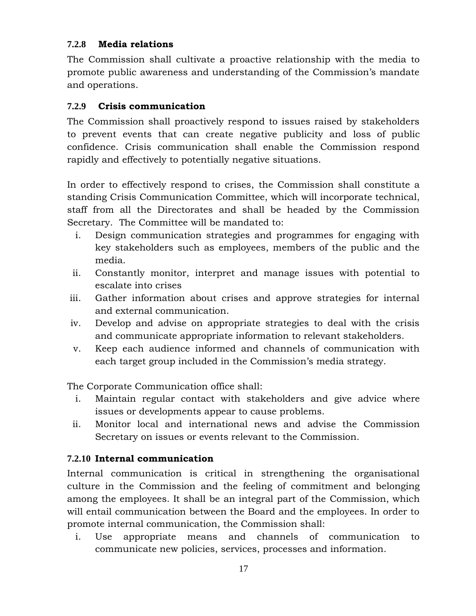#### <span id="page-16-0"></span>**7.2.8 Media relations**

The Commission shall cultivate a proactive relationship with the media to promote public awareness and understanding of the Commission's mandate and operations.

#### <span id="page-16-1"></span>**7.2.9 Crisis communication**

The Commission shall proactively respond to issues raised by stakeholders to prevent events that can create negative publicity and loss of public confidence. Crisis communication shall enable the Commission respond rapidly and effectively to potentially negative situations.

In order to effectively respond to crises, the Commission shall constitute a standing Crisis Communication Committee, which will incorporate technical, staff from all the Directorates and shall be headed by the Commission Secretary. The Committee will be mandated to:

- i. Design communication strategies and programmes for engaging with key stakeholders such as employees, members of the public and the media.
- ii. Constantly monitor, interpret and manage issues with potential to escalate into crises
- iii. Gather information about crises and approve strategies for internal and external communication.
- iv. Develop and advise on appropriate strategies to deal with the crisis and communicate appropriate information to relevant stakeholders.
- v. Keep each audience informed and channels of communication with each target group included in the Commission's media strategy.

The Corporate Communication office shall:

- i. Maintain regular contact with stakeholders and give advice where issues or developments appear to cause problems.
- ii. Monitor local and international news and advise the Commission Secretary on issues or events relevant to the Commission.

## <span id="page-16-2"></span>**7.2.10 Internal communication**

Internal communication is critical in strengthening the organisational culture in the Commission and the feeling of commitment and belonging among the employees. It shall be an integral part of the Commission, which will entail communication between the Board and the employees. In order to promote internal communication, the Commission shall:

i. Use appropriate means and channels of communication to communicate new policies, services, processes and information.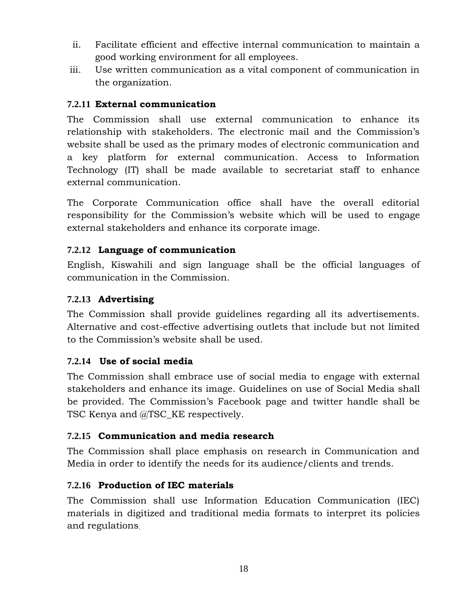- ii. Facilitate efficient and effective internal communication to maintain a good working environment for all employees.
- iii. Use written communication as a vital component of communication in the organization.

#### <span id="page-17-0"></span>**7.2.11 External communication**

The Commission shall use external communication to enhance its relationship with stakeholders. The electronic mail and the Commission's website shall be used as the primary modes of electronic communication and a key platform for external communication. Access to Information Technology (IT) shall be made available to secretariat staff to enhance external communication.

The Corporate Communication office shall have the overall editorial responsibility for the Commission's website which will be used to engage external stakeholders and enhance its corporate image.

#### <span id="page-17-1"></span>**7.2.12 Language of communication**

English, Kiswahili and sign language shall be the official languages of communication in the Commission.

#### <span id="page-17-2"></span>**7.2.13 Advertising**

The Commission shall provide guidelines regarding all its advertisements. Alternative and cost-effective advertising outlets that include but not limited to the Commission's website shall be used.

#### <span id="page-17-3"></span>**7.2.14 Use of social media**

The Commission shall embrace use of social media to engage with external stakeholders and enhance its image. Guidelines on use of Social Media shall be provided. The Commission's Facebook page and twitter handle shall be TSC Kenya and @TSC\_KE respectively.

#### <span id="page-17-4"></span>**7.2.15 Communication and media research**

The Commission shall place emphasis on research in Communication and Media in order to identify the needs for its audience/clients and trends.

## <span id="page-17-5"></span>**7.2.16 Production of IEC materials**

The Commission shall use Information Education Communication (IEC) materials in digitized and traditional media formats to interpret its policies and regulations.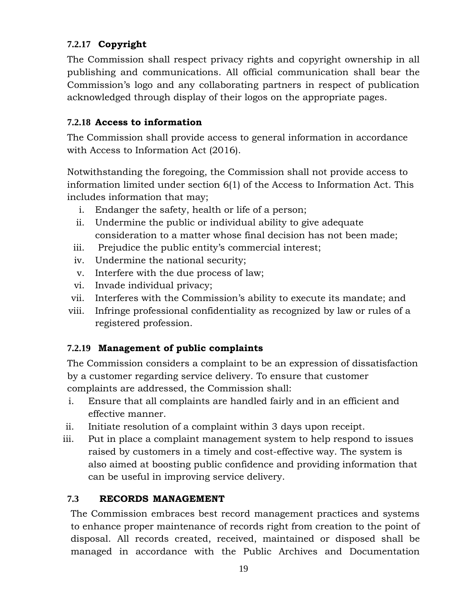## <span id="page-18-0"></span>**7.2.17 Copyright**

The Commission shall respect privacy rights and copyright ownership in all publishing and communications. All official communication shall bear the Commission's logo and any collaborating partners in respect of publication acknowledged through display of their logos on the appropriate pages.

#### <span id="page-18-1"></span>**7.2.18 Access to information**

The Commission shall provide access to general information in accordance with Access to Information Act (2016).

Notwithstanding the foregoing, the Commission shall not provide access to information limited under section 6(1) of the Access to Information Act. This includes information that may;

- i. Endanger the safety, health or life of a person;
- ii. Undermine the public or individual ability to give adequate consideration to a matter whose final decision has not been made;
- iii. Prejudice the public entity's commercial interest;
- iv. Undermine the national security;
- v. Interfere with the due process of law;
- vi. Invade individual privacy;
- vii. Interferes with the Commission's ability to execute its mandate; and
- viii. Infringe professional confidentiality as recognized by law or rules of a registered profession.

## <span id="page-18-2"></span>**7.2.19 Management of public complaints**

The Commission considers a complaint to be an expression of dissatisfaction by a customer regarding service delivery. To ensure that customer complaints are addressed, the Commission shall:

- i. Ensure that all complaints are handled fairly and in an efficient and effective manner.
- ii. Initiate resolution of a complaint within 3 days upon receipt.
- iii. Put in place a complaint management system to help respond to issues raised by customers in a timely and cost-effective way. The system is also aimed at boosting public confidence and providing information that can be useful in improving service delivery.

## <span id="page-18-3"></span>**7.3 RECORDS MANAGEMENT**

The Commission embraces best record management practices and systems to enhance proper maintenance of records right from creation to the point of disposal. All records created, received, maintained or disposed shall be managed in accordance with the Public Archives and Documentation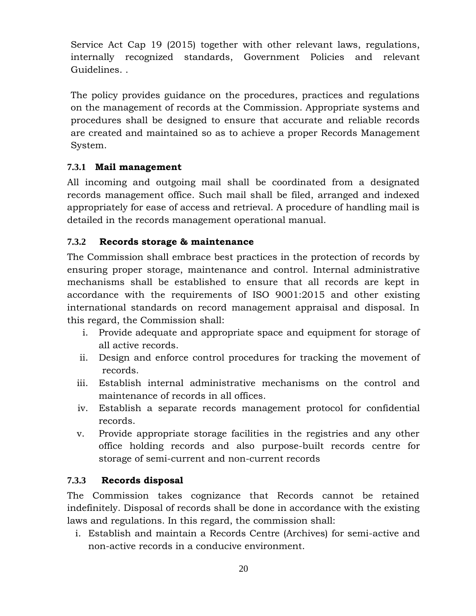Service Act Cap 19 (2015) together with other relevant laws, regulations, internally recognized standards, Government Policies and relevant Guidelines. .

The policy provides guidance on the procedures, practices and regulations on the management of records at the Commission. Appropriate systems and procedures shall be designed to ensure that accurate and reliable records are created and maintained so as to achieve a proper Records Management System.

#### <span id="page-19-0"></span>**7.3.1 Mail management**

All incoming and outgoing mail shall be coordinated from a designated records management office. Such mail shall be filed, arranged and indexed appropriately for ease of access and retrieval. A procedure of handling mail is detailed in the records management operational manual.

#### <span id="page-19-1"></span>**7.3.2 Records storage & maintenance**

The Commission shall embrace best practices in the protection of records by ensuring proper storage, maintenance and control. Internal administrative mechanisms shall be established to ensure that all records are kept in accordance with the requirements of ISO 9001:2015 and other existing international standards on record management appraisal and disposal. In this regard, the Commission shall:

- i. Provide adequate and appropriate space and equipment for storage of all active records.
- ii. Design and enforce control procedures for tracking the movement of records.
- iii. Establish internal administrative mechanisms on the control and maintenance of records in all offices.
- iv. Establish a separate records management protocol for confidential records.
- v. Provide appropriate storage facilities in the registries and any other office holding records and also purpose-built records centre for storage of semi-current and non-current records

#### <span id="page-19-2"></span>**7.3.3 Records disposal**

The Commission takes cognizance that Records cannot be retained indefinitely. Disposal of records shall be done in accordance with the existing laws and regulations. In this regard, the commission shall:

i. Establish and maintain a Records Centre (Archives) for semi-active and non-active records in a conducive environment.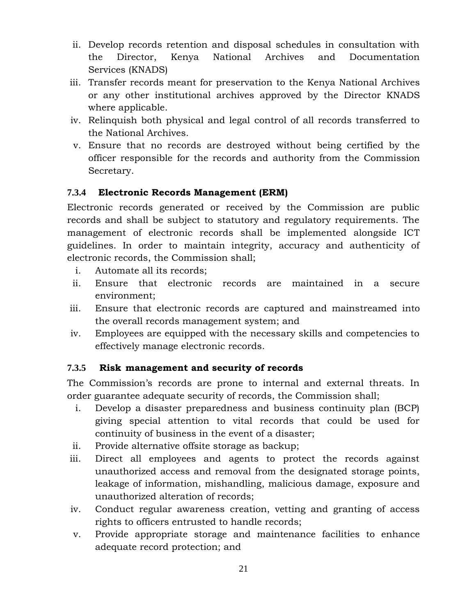- ii. Develop records retention and disposal schedules in consultation with the Director, Kenya National Archives and Documentation Services (KNADS)
- iii. Transfer records meant for preservation to the Kenya National Archives or any other institutional archives approved by the Director KNADS where applicable.
- iv. Relinquish both physical and legal control of all records transferred to the National Archives.
- v. Ensure that no records are destroyed without being certified by the officer responsible for the records and authority from the Commission Secretary.

#### <span id="page-20-0"></span>**7.3.4 Electronic Records Management (ERM)**

Electronic records generated or received by the Commission are public records and shall be subject to statutory and regulatory requirements. The management of electronic records shall be implemented alongside ICT guidelines. In order to maintain integrity, accuracy and authenticity of electronic records, the Commission shall;

- i. Automate all its records;
- ii. Ensure that electronic records are maintained in a secure environment;
- iii. Ensure that electronic records are captured and mainstreamed into the overall records management system; and
- iv. Employees are equipped with the necessary skills and competencies to effectively manage electronic records.

#### <span id="page-20-1"></span>**7.3.5 Risk management and security of records**

The Commission's records are prone to internal and external threats. In order guarantee adequate security of records, the Commission shall;

- i. Develop a disaster preparedness and business continuity plan (BCP) giving special attention to vital records that could be used for continuity of business in the event of a disaster;
- ii. Provide alternative offsite storage as backup;
- iii. Direct all employees and agents to protect the records against unauthorized access and removal from the designated storage points, leakage of information, mishandling, malicious damage, exposure and unauthorized alteration of records;
- iv. Conduct regular awareness creation, vetting and granting of access rights to officers entrusted to handle records;
- v. Provide appropriate storage and maintenance facilities to enhance adequate record protection; and